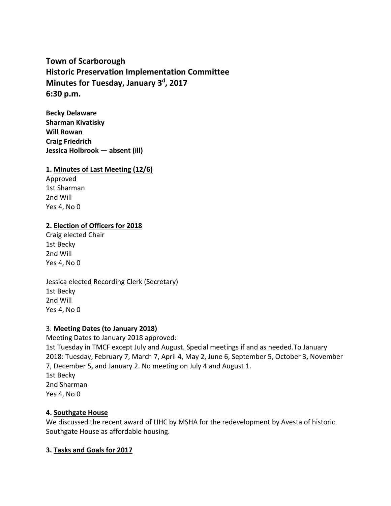# **Town of Scarborough Historic Preservation Implementation Committee Minutes for Tuesday, January 3 d , 2017 6:30 p.m.**

**Becky Delaware Sharman Kivatisky Will Rowan Craig Friedrich Jessica Holbrook — absent (ill)**

# **1. Minutes of Last Meeting (12/6)**

Approved 1st Sharman 2nd Will Yes 4, No 0

### **2. Election of Officers for 2018**

Craig elected Chair 1st Becky 2nd Will Yes 4, No 0

Jessica elected Recording Clerk (Secretary) 1st Becky 2nd Will Yes 4, No 0

### 3. **Meeting Dates (to January 2018)**

Meeting Dates to January 2018 approved: 1st Tuesday in TMCF except July and August. Special meetings if and as needed.To January 2018: Tuesday, February 7, March 7, April 4, May 2, June 6, September 5, October 3, November 7, December 5, and January 2. No meeting on July 4 and August 1. 1st Becky 2nd Sharman Yes 4, No 0

### **4. Southgate House**

We discussed the recent award of LIHC by MSHA for the redevelopment by Avesta of historic Southgate House as affordable housing.

### **3. Tasks and Goals for 2017**